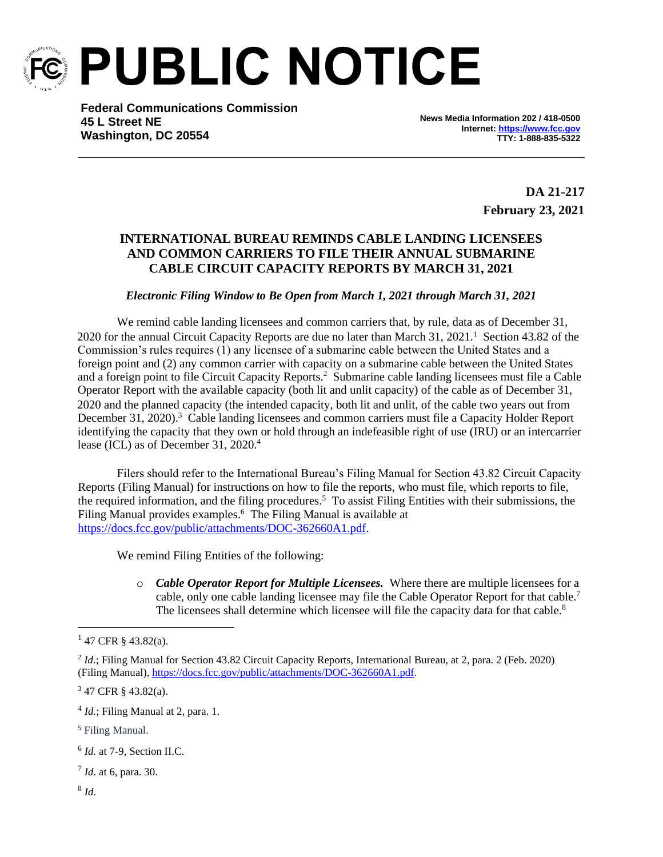

**PUBLIC NOTICE**

**Federal Communications Commission 45 L Street NE Washington, DC 20554**

**News Media Information 202 / 418-0500 Internet[: https://www.fcc.gov](https://www.fcc.gov/) TTY: 1-888-835-5322**

> **DA 21-217 February 23, 2021**

## **INTERNATIONAL BUREAU REMINDS CABLE LANDING LICENSEES AND COMMON CARRIERS TO FILE THEIR ANNUAL SUBMARINE CABLE CIRCUIT CAPACITY REPORTS BY MARCH 31, 2021**

## *Electronic Filing Window to Be Open from March 1, 2021 through March 31, 2021*

We remind cable landing licensees and common carriers that, by rule, data as of December 31, 2020 for the annual Circuit Capacity Reports are due no later than March 31, 2021.<sup>1</sup> Section 43.82 of the Commission's rules requires (1) any licensee of a submarine cable between the United States and a foreign point and (2) any common carrier with capacity on a submarine cable between the United States and a foreign point to file Circuit Capacity Reports.<sup>2</sup> Submarine cable landing licensees must file a Cable Operator Report with the available capacity (both lit and unlit capacity) of the cable as of December 31, 2020 and the planned capacity (the intended capacity, both lit and unlit, of the cable two years out from December 31, 2020).<sup>3</sup> Cable landing licensees and common carriers must file a Capacity Holder Report identifying the capacity that they own or hold through an indefeasible right of use (IRU) or an intercarrier lease (ICL) as of December 31, 2020.<sup>4</sup>

Filers should refer to the International Bureau's Filing Manual for Section 43.82 Circuit Capacity Reports (Filing Manual) for instructions on how to file the reports, who must file, which reports to file, the required information, and the filing procedures.<sup>5</sup> To assist Filing Entities with their submissions, the Filing Manual provides examples.<sup>6</sup> The Filing Manual is available at [https://docs.fcc.gov/public/attachments/DOC-362660A1.pdf.](https://docs.fcc.gov/public/attachments/DOC-362660A1.pdf)

We remind Filing Entities of the following:

o *Cable Operator Report for Multiple Licensees.* Where there are multiple licensees for a cable, only one cable landing licensee may file the Cable Operator Report for that cable.<sup>7</sup> The licensees shall determine which licensee will file the capacity data for that cable.<sup>8</sup>

<sup>5</sup> Filing Manual.

7 *Id*. at 6, para. 30.

 $147$  CFR § 43.82(a).

<sup>2</sup> *Id*.; Filing Manual for Section 43.82 Circuit Capacity Reports, International Bureau, at 2, para. 2 (Feb. 2020) (Filing Manual)[, https://docs.fcc.gov/public/attachments/DOC-362660A1.pdf.](https://docs.fcc.gov/public/attachments/DOC-362660A1.pdf)

<sup>3</sup> 47 CFR § 43.82(a).

<sup>&</sup>lt;sup>4</sup> *Id.*; Filing Manual at 2, para. 1.

<sup>6</sup> *Id.* at 7-9, Section II.C.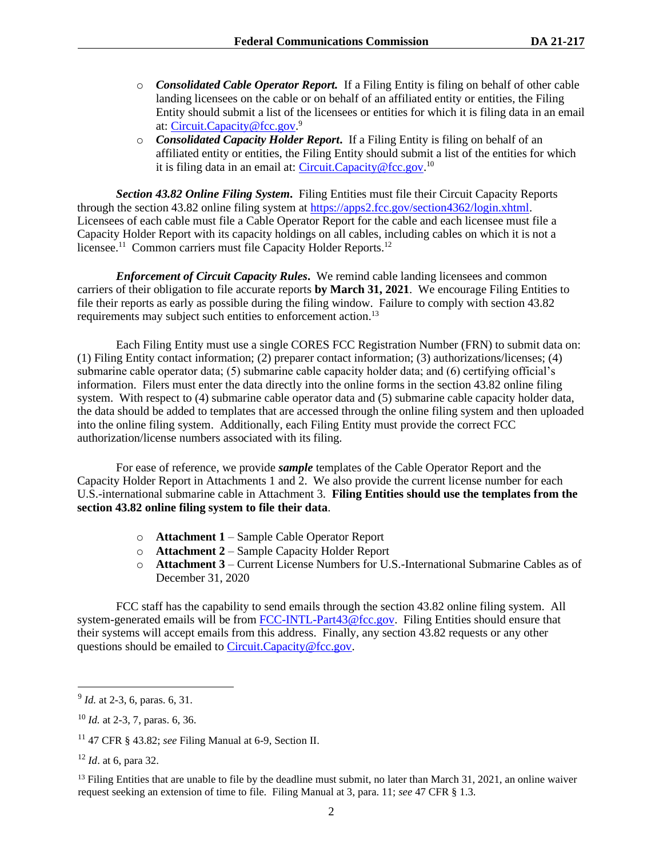- o *Consolidated Cable Operator Report.* If a Filing Entity is filing on behalf of other cable landing licensees on the cable or on behalf of an affiliated entity or entities, the Filing Entity should submit a list of the licensees or entities for which it is filing data in an email at[: Circuit.Capacity@fcc.gov.](mailto:Circuit.Capacity@fcc.gov)<sup>9</sup>
- o *Consolidated Capacity Holder Report***.** If a Filing Entity is filing on behalf of an affiliated entity or entities, the Filing Entity should submit a list of the entities for which it is filing data in an email at: [Circuit.Capacity@fcc.gov.](mailto:Circuit.Capacity@fcc.gov)<sup>10</sup>

*Section 43.82 Online Filing System***.** Filing Entities must file their Circuit Capacity Reports through the section 43.82 online filing system at [https://apps2.fcc.gov/section4362/login.xhtml.](https://apps2.fcc.gov/section4362/login.xhtml) Licensees of each cable must file a Cable Operator Report for the cable and each licensee must file a Capacity Holder Report with its capacity holdings on all cables, including cables on which it is not a licensee.<sup>11</sup> Common carriers must file Capacity Holder Reports.<sup>12</sup>

*Enforcement of Circuit Capacity Rules***.** We remind cable landing licensees and common carriers of their obligation to file accurate reports **by March 31, 2021**. We encourage Filing Entities to file their reports as early as possible during the filing window. Failure to comply with section 43.82 requirements may subject such entities to enforcement action.<sup>13</sup>

Each Filing Entity must use a single CORES FCC Registration Number (FRN) to submit data on: (1) Filing Entity contact information; (2) preparer contact information; (3) authorizations/licenses; (4) submarine cable operator data; (5) submarine cable capacity holder data; and (6) certifying official's information. Filers must enter the data directly into the online forms in the section 43.82 online filing system. With respect to (4) submarine cable operator data and (5) submarine cable capacity holder data, the data should be added to templates that are accessed through the online filing system and then uploaded into the online filing system. Additionally, each Filing Entity must provide the correct FCC authorization/license numbers associated with its filing.

For ease of reference, we provide *sample* templates of the Cable Operator Report and the Capacity Holder Report in Attachments 1 and 2. We also provide the current license number for each U.S.-international submarine cable in Attachment 3. **Filing Entities should use the templates from the section 43.82 online filing system to file their data**.

- o **Attachment 1** Sample Cable Operator Report
- o **Attachment 2** Sample Capacity Holder Report
- o **Attachment 3** Current License Numbers for U.S.-International Submarine Cables as of December 31, 2020

FCC staff has the capability to send emails through the section 43.82 online filing system. All system-generated emails will be from FCC-INTL-Part43@fcc.gov. Filing Entities should ensure that their systems will accept emails from this address. Finally, any section 43.82 requests or any other questions should be emailed to Circuit.Capacity@fcc.gov.

<sup>&</sup>lt;sup>9</sup> *Id.* at 2-3, 6, paras. 6, 31.

<sup>10</sup> *Id.* at 2-3, 7, paras. 6, 36.

<sup>11</sup> 47 CFR § 43.82; *see* Filing Manual at 6-9, Section II.

<sup>12</sup> *Id*. at 6, para 32.

 $13$  Filing Entities that are unable to file by the deadline must submit, no later than March 31, 2021, an online waiver request seeking an extension of time to file. Filing Manual at 3, para. 11; *see* 47 CFR § 1.3.